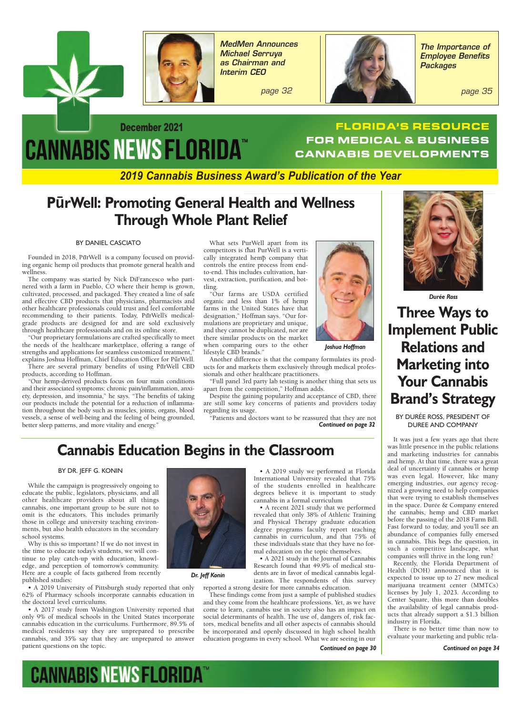



*MedMen Announces Michael Serruya as Chairman and Interim CEO*

 *page 32*



*The Importance of Employee Benefits Packages*

 *page 35*

# December 2021 **CANNABIS NEWS FLORIDA™**

### **FLORIDA'S RESOURCE FOR MEDICAL & BUSINESS CANNABIS DEVELOPMENTS**

*2019 Cannabis Business Award's Publication of the Year*

### **PūrWell: Promoting General Health and Wellness Through Whole Plant Relief**

#### BY DANIEL CASCIATO

Founded in 2018, PūrWell is a company focused on providing organic hemp oil products that promote general health and wellness.

The company was started by Nick DiFrancesco who partnered with a farm in Pueblo, CO where their hemp is grown, cultivated, processed, and packaged. They created a line of safe and effective CBD products that physicians, pharmacists and other healthcare professionals could trust and feel comfortable recommending to their patients. Today, PurWell's medicalgrade products are designed for and are sold exclusively through healthcare professionals and on its online store.

"Our proprietary formulations are crafted specifically to meet the needs of the healthcare marketplace, offering a range of strengths and applications for seamless customized treatment," explains Joshua Hoffman, Chief Education Officer for PūrWell.

There are several primary benefits of using PurWell CBD products, according to Hoffman.

"Our hemp-derived products focus on four main conditions and their associated symptoms: chronic pain/inflammation, anxiety, depression, and insomnia," he says. "The benefits of taking our products include the potential for a reduction of inflammation throughout the body such as muscles, joints, organs, blood vessels, a sense of well-being and the feeling of being grounded, better sleep patterns, and more vitality and energy.'

What sets PurWell apart from its competitors is that PurWell is a vertically integrated hemp company that controls the entire process from endto-end. This includes cultivation, harvest, extraction, purification, and bottling.

"Our farms are USDA certified organic and less than 1% of hemp farms in the United States have that designation," Hoffman says. "Our formulations are proprietary and unique, and they cannot be duplicated, nor are there similar products on the market when comparing ours to the other lifestyle CBD brands."

Another difference is that the company formulates its products for and markets them exclusively through medical professionals and other healthcare practitioners.

"Full panel 3rd party lab testing is another thing that sets us apart from the competition," Hoffman adds.

Despite the gaining popularity and acceptance of CBD, there are still some key concerns of patients and providers today regarding its usage.

"Patients and doctors want to be reassured that they are not *Continued on page 32*



 *Durée Ross* 

**Three Ways to Implement Public Relations and Marketing into Your Cannabis Brand's Strategy** 

BY DURÉE ROSS, PRESIDENT OF DUREE AND COMPANY

It was just a few years ago that there was little presence in the public relations and marketing industries for cannabis and hemp. At that time, there was a great deal of uncertainty if cannabis or hemp was even legal. However, like many emerging industries, our agency recognized a growing need to help companies that were trying to establish themselves in the space. Durée & Company entered the cannabis, hemp and CBD market before the passing of the 2018 Farm Bill. Fast forward to today, and you'll see an abundance of companies fully emersed in cannabis. This begs the question, in such a competitive landscape, what companies will thrive in the long run?

Recently, the Florida Department of Health (DOH) announced that it is expected to issue up to 27 new medical marijuana treatment center (MMTCs) licenses by July 1, 2023. According to Center Square, this more than doubles the availability of legal cannabis products that already support a \$1.3 billion industry in Florida.

There is no better time than now to evaluate your marketing and public rela-

*Continued on page 34*

### **Cannabis Education Begins in the Classroom**

#### BY DR. JEFF G. KONIN

While the campaign is progressively ongoing to educate the public, legislators, physicians, and all other healthcare providers about all things cannabis, one important group to be sure not to omit is the educators. This includes primarily those in college and university teaching environments, but also health educators in the secondary school systems.

Why is this so important? If we do not invest in the time to educate today's students, we will continue to play catch-up with education, knowledge, and perception of tomorrow's community. Here are a couple of facts gathered from recently published studies:

• A 2019 University of Pittsburgh study reported that only 62% of Pharmacy schools incorporate cannabis education in the doctoral level curriculums.

• A 2017 study from Washington University reported that only 9% of medical schools in the United States incorporate cannabis education in the curriculums. Furthermore, 89.5% of medical residents say they are unprepared to prescribe cannabis, and 35% say that they are unprepared to answer patient questions on the topic.



 *Dr. Jeff Konin*

• A 2019 study we performed at Florida International University revealed that 75% of the students enrolled in healthcare degrees believe it is important to study cannabis in a formal curriculum

 *Joshua Hoffman* 

• A recent 2021 study that we performed revealed that only 38% of Athletic Training and Physical Therapy graduate education degree programs faculty report teaching cannabis in curriculum, and that 75% of these individuals state that they have no formal education on the topic themselves.

• A 2021 study in the Journal of Cannabis Research found that 49.9% of medical students are in favor of medical cannabis legalization. The respondents of this survey reported a strong desire for more cannabis education.

These findings come from just a sample of published studies and they come from the healthcare professions. Yet, as we have come to learn, cannabis use in society also has an impact on social determinants of health. The use of, dangers of, risk factors, medical benefits and all other aspects of cannabis should be incorporated and openly discussed in high school health education programs in every school. What we are seeing in our

*Continued on page 30*

**CANNABIS NEWSFLORIDA**<sup>®</sup>